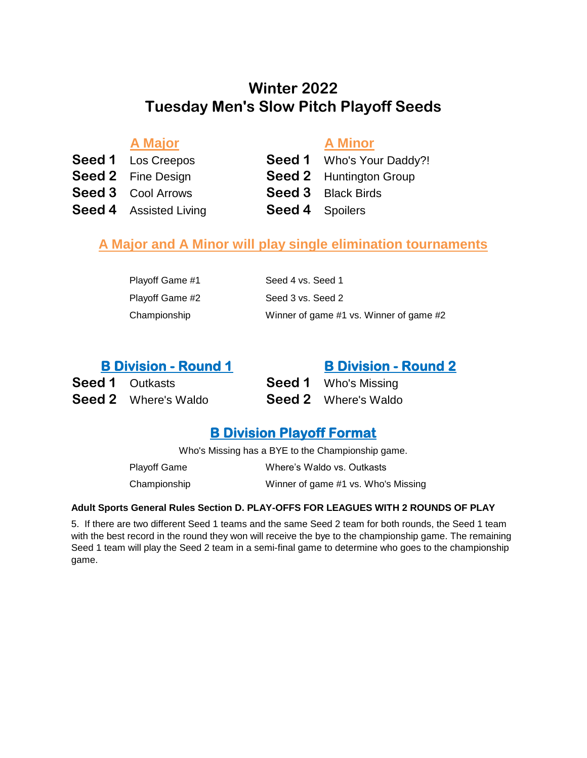## **Tuesday Men's Slow Pitch Playoff Seeds Winter 2022**

**A Major A Minor**

**Seed 1** Los Creepos **Seed 1** Who's Your Daddy?! **Seed 3** Cool Arrows **Seed 3** Black Birds **Seed 4** Assisted Living **Seed 4** Spoilers

**Seed 2** Fine Design **Seed 2** Huntington Group

## **A Major and A Minor will play single elimination tournaments**

| Playoff Game #1 | Seed 4 vs. Seed 1                       |
|-----------------|-----------------------------------------|
| Playoff Game #2 | Seed 3 vs. Seed 2                       |
| Championship    | Winner of game #1 vs. Winner of game #2 |

| <b>B Division - Round 1</b> | <b>B Division - Round 2</b> |
|-----------------------------|-----------------------------|
| <b>Seed 1</b> Outkasts      | <b>Seed 1</b> Who's Missing |
| <b>Seed 2</b> Where's Waldo | <b>Seed 2</b> Where's Waldo |

## **B Division Playoff Format**

Who's Missing has a BYE to the Championship game.

| <b>Playoff Game</b> | Where's Waldo vs. Outkasts          |
|---------------------|-------------------------------------|
| Championship        | Winner of game #1 vs. Who's Missing |

#### **Adult Sports General Rules Section D. PLAY-OFFS FOR LEAGUES WITH 2 ROUNDS OF PLAY**

5. If there are two different Seed 1 teams and the same Seed 2 team for both rounds, the Seed 1 team with the best record in the round they won will receive the bye to the championship game. The remaining Seed 1 team will play the Seed 2 team in a semi-final game to determine who goes to the championship game.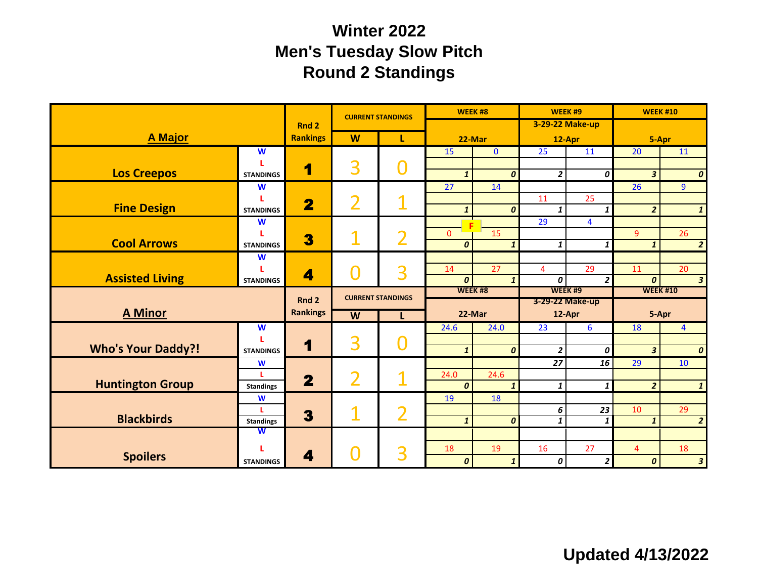# **Winter 2022 Men's Tuesday Slow Pitch Round 2 Standings**

|                                     |                  |                         | <b>CURRENT STANDINGS</b>                        |   | WEEK #8          |                  |                     | WEEK#9               | <b>WEEK #10</b>        |                    |  |
|-------------------------------------|------------------|-------------------------|-------------------------------------------------|---|------------------|------------------|---------------------|----------------------|------------------------|--------------------|--|
|                                     |                  | Rnd <sub>2</sub>        |                                                 |   |                  |                  |                     | 3-29-22 Make-up      |                        |                    |  |
| <b>A Major</b>                      |                  | <b>Rankings</b>         | W<br>L                                          |   | 22-Mar           |                  |                     | 12-Apr               | 5-Apr                  |                    |  |
|                                     | W                |                         |                                                 |   | 15               | $\mathbf{0}$     | 25                  | 11                   | 20                     | 11                 |  |
| <b>Los Creepos</b>                  | <b>STANDINGS</b> | 1                       | 3                                               |   | $\mathbf{1}$     | $\boldsymbol{o}$ | $\overline{2}$      | 0                    | 3                      | 0                  |  |
|                                     | W                |                         |                                                 |   | 27               | 14               |                     |                      | $\overline{26}$        | $\overline{9}$     |  |
| <b>Fine Design</b>                  | <b>STANDINGS</b> | $\overline{\mathbf{2}}$ | $\overline{2}$                                  |   | $\mathbf{1}$     | $\boldsymbol{o}$ | 11<br>$\mathbf{1}$  | 25<br>$\mathbf{1}$   | $\overline{2}$         |                    |  |
|                                     | W                |                         |                                                 | 2 |                  |                  | 29                  | $\overline{4}$       |                        |                    |  |
|                                     |                  | 3                       | 1                                               |   | $\Omega$         | 15               |                     |                      | $\overline{9}$         | 26                 |  |
| <b>Cool Arrows</b>                  | <b>STANDINGS</b> |                         |                                                 |   | 0                | $\mathbf{1}$     | 1                   | 1                    | 1                      | $\overline{2}$     |  |
|                                     | W                |                         |                                                 |   |                  |                  |                     |                      |                        |                    |  |
| <b>Assisted Living</b>              | <b>STANDINGS</b> | 4                       |                                                 | 3 | 14<br>0          | 27<br>1          | $\overline{4}$<br>0 | 29<br>$\overline{2}$ | 11<br>$\boldsymbol{o}$ | 20<br>$\mathbf{3}$ |  |
|                                     |                  |                         |                                                 |   | WEEK #8          |                  |                     | WEEK #9              | <b>WEEK #10</b>        |                    |  |
|                                     |                  | Rnd 2                   | <b>CURRENT STANDINGS</b><br>$\overline{w}$<br>L |   |                  |                  |                     | 3-29-22 Make-up      |                        |                    |  |
| <b>A Minor</b>                      |                  | <b>Rankings</b>         |                                                 |   |                  | 22-Mar           |                     | 12-Apr               | 5-Apr                  |                    |  |
|                                     | W                |                         |                                                 |   | 24.6             | 24.0             | 23                  | 6                    | 18                     | $\overline{4}$     |  |
|                                     |                  | 1                       | 3                                               |   |                  |                  |                     |                      |                        |                    |  |
| <b>Who's Your Daddy?!</b>           | <b>STANDINGS</b> |                         |                                                 |   | $\mathbf{1}$     | $\boldsymbol{0}$ | $\overline{2}$      | 0                    | $\mathbf{3}$           | $\boldsymbol{0}$   |  |
|                                     | W                |                         |                                                 |   | 24.0             | 24.6             | 27                  | 16                   | 29                     | 10                 |  |
| <b>Huntington Group</b>             | <b>Standings</b> | $\overline{\mathbf{2}}$ | $\overline{2}$                                  |   | $\boldsymbol{0}$ | $\mathbf{1}$     | $\mathbf{1}$        | $\mathbf{1}$         | $\overline{2}$         | $\mathbf{1}$       |  |
|                                     | W                |                         |                                                 |   | 19               | 18               |                     |                      |                        |                    |  |
|                                     | L                | 3                       | 1                                               | 2 |                  |                  | 6                   | 23                   | 10                     | 29                 |  |
| <b>Blackbirds</b>                   | <b>Standings</b> |                         |                                                 |   | $\mathbf{1}$     | $\boldsymbol{0}$ | $\mathbf{1}$        | $\mathbf{1}$         | $\mathbf{1}$           | $\overline{2}$     |  |
|                                     | W                |                         |                                                 |   |                  |                  |                     |                      |                        |                    |  |
|                                     |                  |                         |                                                 | 3 | 18               | 19               | 16                  | 27                   | $\overline{4}$         | 18                 |  |
| <b>Spoilers</b><br><b>STANDINGS</b> |                  | 4                       |                                                 |   | 0                | $\mathbf{1}$     | 0                   | $\overline{2}$       | $\boldsymbol{0}$       | 3                  |  |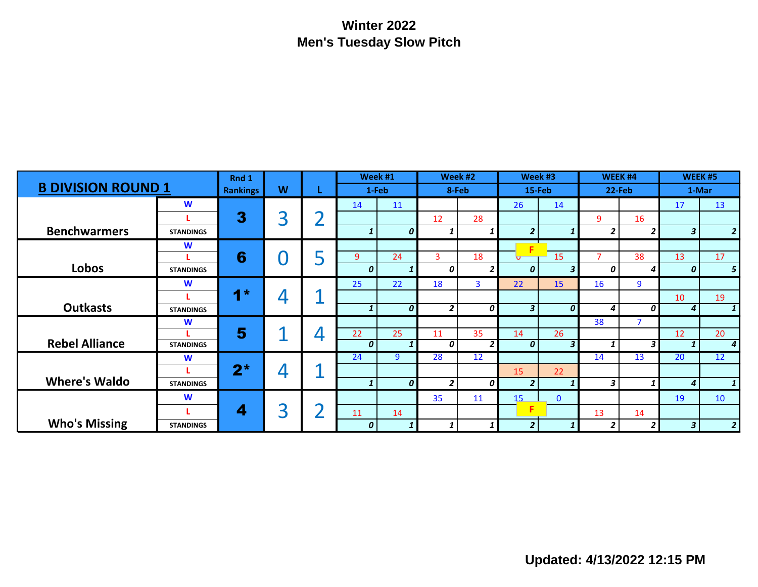## **Winter 2022 Men's Tuesday Slow Pitch**

| <b>B DIVISION ROUND 1</b> |                  | Rnd 1           |   |                          |       | Week #1          |                | Week #2                 |                         | Week #3                 | WEEK #4<br>22-Feb       |                | WEEK #5<br>1-Mar |                  |
|---------------------------|------------------|-----------------|---|--------------------------|-------|------------------|----------------|-------------------------|-------------------------|-------------------------|-------------------------|----------------|------------------|------------------|
|                           |                  | <b>Rankings</b> | W |                          | 1-Feb |                  | 8-Feb          |                         | 15-Feb                  |                         |                         |                |                  |                  |
|                           | W                |                 |   |                          | 14    | 11               |                |                         | 26                      | 14                      |                         |                | 17               | 13               |
|                           |                  | 3               | 3 |                          |       |                  | 12             | 28                      |                         |                         | 9                       | 16             |                  |                  |
| <b>Benchwarmers</b>       | <b>STANDINGS</b> |                 |   |                          | 1     | 0                | 1              |                         | $\overline{2}$          | 1                       | $\overline{\mathbf{c}}$ | 2 <sub>1</sub> | $\mathbf{3}$     | $\overline{2}$   |
|                           | W                |                 |   |                          |       |                  |                |                         | F                       |                         |                         |                |                  |                  |
|                           |                  | 6               |   |                          | 9     | 24               | 3              | 18                      | $\overline{\mathbf{u}}$ | 15                      | $\overline{7}$          | 38             | 13               | 17               |
| Lobos                     | <b>STANDINGS</b> |                 |   |                          | 0     | 1                | 0              | 2                       | 0                       | $\overline{\mathbf{3}}$ | 0                       | 4              | 0                | 5                |
|                           | W                |                 |   |                          | 25    | 22               | 18             | $\overline{\mathbf{3}}$ | 22                      | 15                      | 16                      | 9              |                  |                  |
|                           |                  | $1*$            | 4 |                          |       |                  |                |                         |                         |                         |                         |                | 10               | 19               |
| <b>Outkasts</b>           | <b>STANDINGS</b> |                 |   |                          |       | $\mathbf{1}$     | 0              | $\overline{2}$          | 0                       | 3 <sup>1</sup>          | $\boldsymbol{o}$        | 4              | $\boldsymbol{o}$ | $\overline{4}$   |
|                           | W                |                 |   |                          |       |                  |                |                         |                         |                         | 38                      | $\overline{7}$ |                  |                  |
|                           |                  | 5               |   | $\overline{\phantom{a}}$ | 22    | 25               | 11             | 35                      | 14                      | 26                      |                         |                | 12               | 20               |
| <b>Rebel Alliance</b>     | <b>STANDINGS</b> |                 |   |                          | 0     | 1                | 0              | $\overline{2}$          | 0                       | $\mathbf{3}$            | 1                       | 3 <sup>1</sup> |                  | $\boldsymbol{4}$ |
|                           | W                |                 |   |                          | 24    | 9                | 28             | 12                      |                         |                         | 14                      | 13             | 20               | 12               |
|                           |                  | $2^*$           | 4 |                          |       |                  |                |                         | 15                      | 22                      |                         |                |                  |                  |
| <b>Where's Waldo</b>      | <b>STANDINGS</b> |                 |   |                          | 1     | $\boldsymbol{0}$ | $\overline{2}$ | 0                       | $\overline{2}$          | $\mathbf{1}$            | 3                       | $1\vert$       | $\overline{4}$   | 1                |
|                           | W                |                 |   |                          |       |                  | 35             | 11                      | 15                      | $\mathbf{0}$            |                         |                | 19               | 10 <sup>°</sup>  |
|                           |                  | 4               | 3 |                          | 11    | 14               |                |                         | F                       |                         | 13                      | 14             |                  |                  |
| <b>Who's Missing</b>      | <b>STANDINGS</b> |                 |   |                          | 0     | 1                | 1              |                         | $\overline{2}$          |                         | 2                       | 21             | $\mathbf{3}$     | $\overline{2}$   |